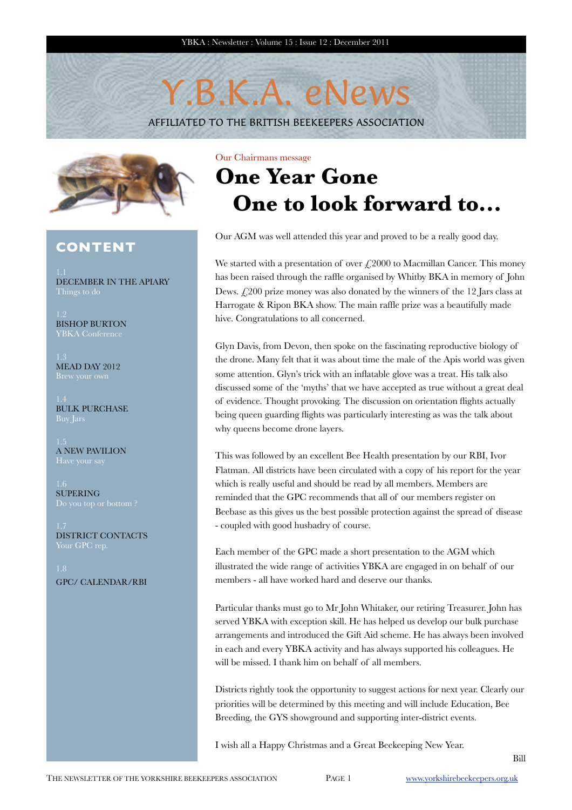# Y.B.K.A. eNews

AFFILIATED TO THE BRITISH BEEKEEPERS ASSOCIATION



## **CONTENT**

DECEMBER IN THE APIARY

BISHOP BURTON YBKA Conferenc

MEAD DAY 2012

BULK PURCHASE

A NEW PAVILION

SUPERING

DISTRICT CONTACTS

GPC/ CALENDAR/RBI

Our Chairmans message

# **One Year Gone One to look forward to...**

Our AGM was well attended this year and proved to be a really good day.

We started with a presentation of over  $\mathcal{L}2000$  to Macmillan Cancer. This money has been raised through the raffle organised by Whitby BKA in memory of John Dews. £200 prize money was also donated by the winners of the 12 Jars class at Harrogate & Ripon BKA show. The main raffle prize was a beautifully made hive. Congratulations to all concerned.

Glyn Davis, from Devon, then spoke on the fascinating reproductive biology of the drone. Many felt that it was about time the male of the Apis world was given some attention. Glyn's trick with an inflatable glove was a treat. His talk also discussed some of the 'myths' that we have accepted as true without a great deal of evidence. Thought provoking. The discussion on orientation flights actually being queen guarding flights was particularly interesting as was the talk about why queens become drone layers.

This was followed by an excellent Bee Health presentation by our RBI, Ivor Flatman. All districts have been circulated with a copy of his report for the year which is really useful and should be read by all members. Members are reminded that the GPC recommends that all of our members register on Beebase as this gives us the best possible protection against the spread of disease - coupled with good husbadry of course.

Each member of the GPC made a short presentation to the AGM which illustrated the wide range of activities YBKA are engaged in on behalf of our members - all have worked hard and deserve our thanks.

Particular thanks must go to Mr John Whitaker, our retiring Treasurer. John has served YBKA with exception skill. He has helped us develop our bulk purchase arrangements and introduced the Gift Aid scheme. He has always been involved in each and every YBKA activity and has always supported his colleagues. He will be missed. I thank him on behalf of all members.

Districts rightly took the opportunity to suggest actions for next year. Clearly our priorities will be determined by this meeting and will include Education, Bee Breeding, the GYS showground and supporting inter-district events.

I wish all a Happy Christmas and a Great Beekeeping New Year.

Bill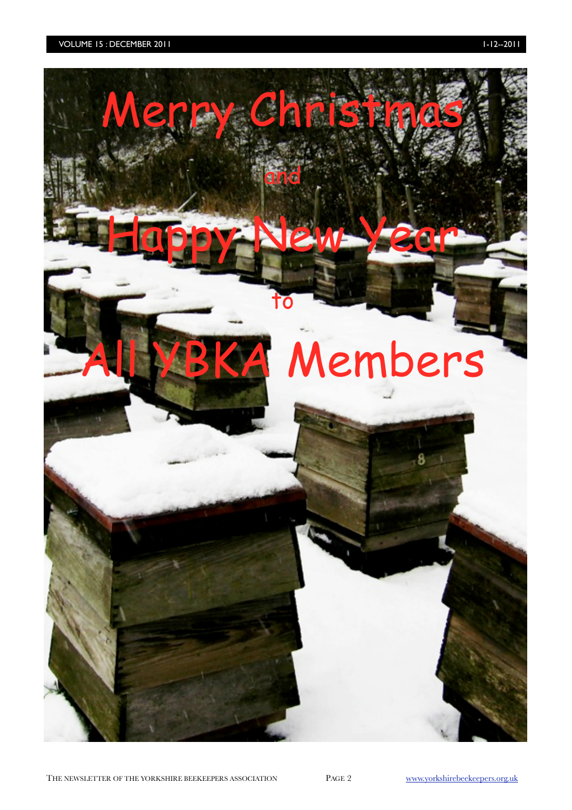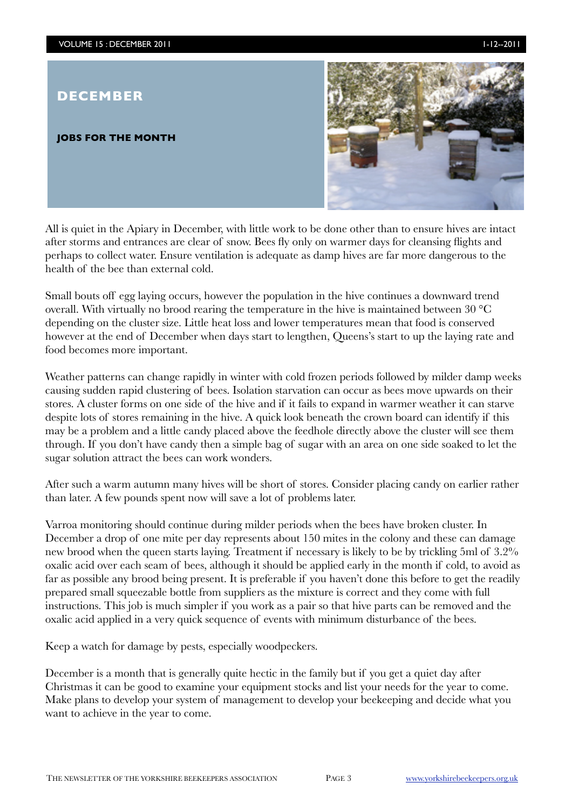## **DECEMBER**

#### **JOBS FOR THE MONTH**



All is quiet in the Apiary in December, with little work to be done other than to ensure hives are intact after storms and entrances are clear of snow. Bees fly only on warmer days for cleansing flights and perhaps to collect water. Ensure ventilation is adequate as damp hives are far more dangerous to the health of the bee than external cold.

Small bouts off egg laying occurs, however the population in the hive continues a downward trend overall. With virtually no brood rearing the temperature in the hive is maintained between 30 °C depending on the cluster size. Little heat loss and lower temperatures mean that food is conserved however at the end of December when days start to lengthen, Queens's start to up the laying rate and food becomes more important.

Weather patterns can change rapidly in winter with cold frozen periods followed by milder damp weeks causing sudden rapid clustering of bees. Isolation starvation can occur as bees move upwards on their stores. A cluster forms on one side of the hive and if it fails to expand in warmer weather it can starve despite lots of stores remaining in the hive. A quick look beneath the crown board can identify if this may be a problem and a little candy placed above the feedhole directly above the cluster will see them through. If you don't have candy then a simple bag of sugar with an area on one side soaked to let the sugar solution attract the bees can work wonders.

After such a warm autumn many hives will be short of stores. Consider placing candy on earlier rather than later. A few pounds spent now will save a lot of problems later.

Varroa monitoring should continue during milder periods when the bees have broken cluster. In December a drop of one mite per day represents about 150 mites in the colony and these can damage new brood when the queen starts laying. Treatment if necessary is likely to be by trickling 5ml of 3.2% oxalic acid over each seam of bees, although it should be applied early in the month if cold, to avoid as far as possible any brood being present. It is preferable if you haven't done this before to get the readily prepared small squeezable bottle from suppliers as the mixture is correct and they come with full instructions. This job is much simpler if you work as a pair so that hive parts can be removed and the oxalic acid applied in a very quick sequence of events with minimum disturbance of the bees.

Keep a watch for damage by pests, especially woodpeckers.

December is a month that is generally quite hectic in the family but if you get a quiet day after Christmas it can be good to examine your equipment stocks and list your needs for the year to come. Make plans to develop your system of management to develop your beekeeping and decide what you want to achieve in the year to come.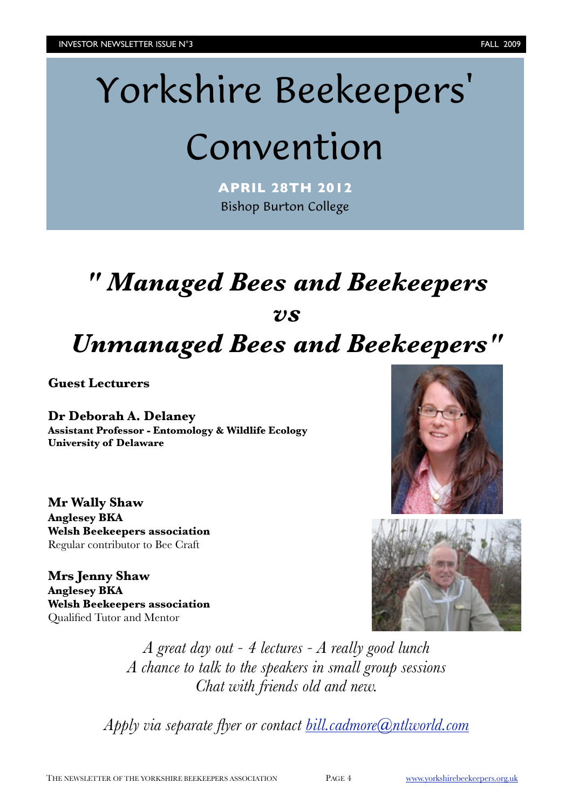# Yorkshire Beekeepers'

# Convention

**APRIL 28TH 2012** Bishop Burton College

# *" Managed Bees and Beekeepers vs Unmanaged Bees and Beekeepers"*

**Guest Lecturers**

#### **Dr Deborah A. Delaney Assistant Professor - Entomology & Wildlife Ecology University of Delaware**

**Mr Wally Shaw Anglesey BKA Welsh Beekeepers association** Regular contributor to Bee Craft

**Mrs Jenny Shaw Anglesey BKA Welsh Beekeepers association** Qualified Tutor and Mentor





*A great day out - 4 lectures - A really good lunch A chance to talk to the speakers in small group sessions Chat with friends old and new.*

*Apply via separate flyer or contact [bill.cadmore@ntlworld.com](mailto:bill.cadmore@ntlworld.com)*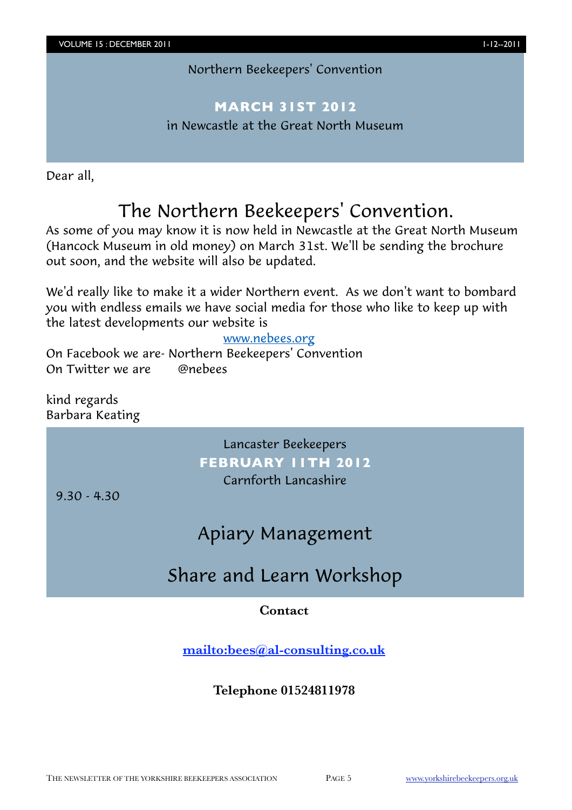### Northern Beekeepers' Convention

## **MARCH 31ST 2012**

in Newcastle at the Great North Museum

Dear all,

# The Northern Beekeepers' Convention.

As some of you may know it is now held in Newcastle at the Great North Museum (Hancock Museum in old money) on March 31st. We'll be sending the brochure out soon, and the website will also be updated.

We'd really like to make it a wider Northern event. As we don't want to bombard you with endless emails we have social media for those who like to keep up with the latest developments our website is

#### [www.nebees.org](http://www.nebees.org/)

On Facebook we are- Northern Beekeepers' Convention On Twitter we are **Conebees** 

kind regards Barbara Keating

> Lancaster Beekeepers **FEBRUARY 11TH 2012** Carnforth Lancashire

9.30 - 4.30

# Apiary Management

# Share and Learn Workshop

### **Contact**

**<mailto:bees@al-consulting.co.uk>**

### **Telephone 01524811978**

THE NEWSLETTER OF THE YORKSHIRE BEEKEEPERS ASSOCIATION PAGE 5 [www.yorkshirebeekeepers.org.uk](http://www.yorkshirebeekeepers.org.uk)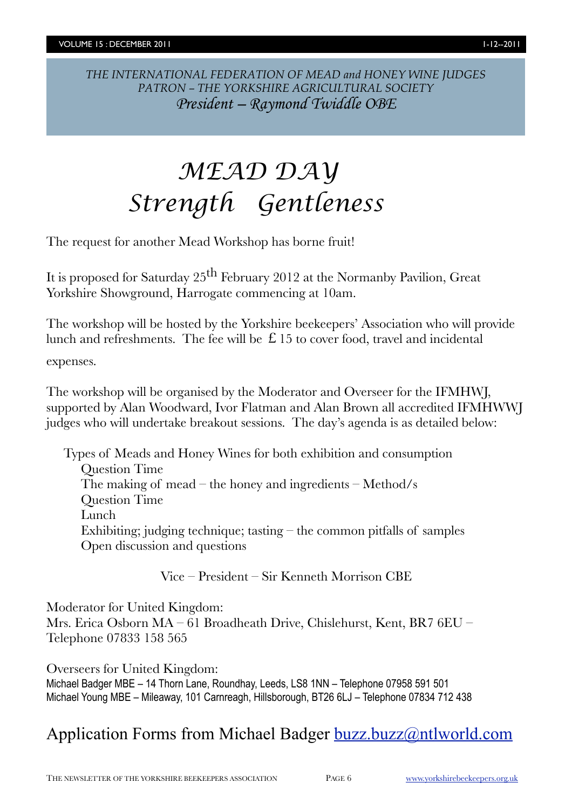*THE INTERNATIONAL FEDERATION OF MEAD and HONEY WINE JUDGES PATRON – THE YORKSHIRE AGRICULTURAL SOCIETY President – Raymond Twiddle OBE*

# *MEAD DAY Strength Gentleness*

The request for another Mead Workshop has borne fruit!

It is proposed for Saturday 25th February 2012 at the Normanby Pavilion, Great Yorkshire Showground, Harrogate commencing at 10am.

The workshop will be hosted by the Yorkshire beekeepers' Association who will provide lunch and refreshments. The fee will be  $\hat{E}$  15 to cover food, travel and incidental

expenses.

The workshop will be organised by the Moderator and Overseer for the IFMHWJ, supported by Alan Woodward, Ivor Flatman and Alan Brown all accredited IFMHWWJ judges who will undertake breakout sessions. The day's agenda is as detailed below:

Types of Meads and Honey Wines for both exhibition and consumption Question Time The making of mead – the honey and ingredients – Method/s Question Time Lunch Exhibiting; judging technique; tasting  $-$  the common pitfalls of samples Open discussion and questions

Vice – President – Sir Kenneth Morrison CBE

Moderator for United Kingdom:

Mrs. Erica Osborn MA – 61 Broadheath Drive, Chislehurst, Kent, BR7 6EU – Telephone 07833 158 565

Overseers for United Kingdom: Michael Badger MBE – 14 Thorn Lane, Roundhay, Leeds, LS8 1NN – Telephone 07958 591 501 Michael Young MBE – Mileaway, 101 Carnreagh, Hillsborough, BT26 6LJ – Telephone 07834 712 438

# Application Forms from Michael Badger [buzz.buzz@ntlworld.com](mailto:buzz.buzz@ntlworld.com)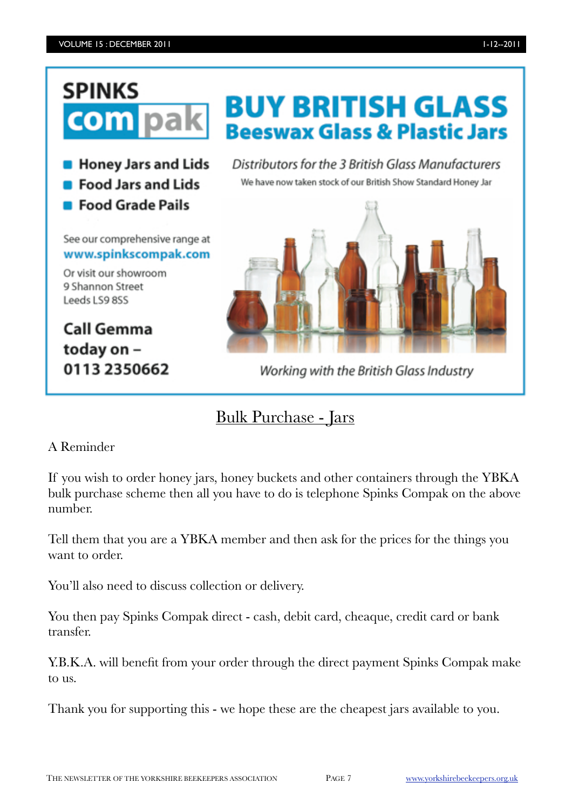# **SPINKS** com

**B** Honey Jars and Lids

- **Food Jars and Lids**
- **Food Grade Pails**

See our comprehensive range at www.spinkscompak.com

Or visit our showroom 9 Shannon Street Leeds LS9 8SS

**Call Gemma** today on -0113 2350662 **BUY BRITISH GLASS Beeswax Glass & Plastic Jars** 

Distributors for the 3 British Glass Manufacturers We have now taken stock of our British Show Standard Honey Jar



Working with the British Glass Industry

# Bulk Purchase - Jars

### A Reminder

If you wish to order honey jars, honey buckets and other containers through the YBKA bulk purchase scheme then all you have to do is telephone Spinks Compak on the above number.

Tell them that you are a YBKA member and then ask for the prices for the things you want to order.

You'll also need to discuss collection or delivery.

You then pay Spinks Compak direct - cash, debit card, cheaque, credit card or bank transfer.

Y.B.K.A. will benefit from your order through the direct payment Spinks Compak make to us.

Thank you for supporting this - we hope these are the cheapest jars available to you.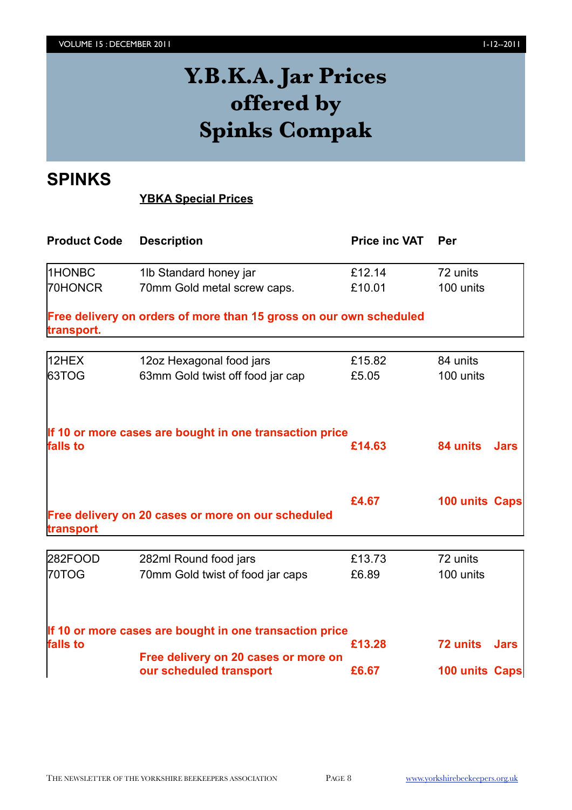# **Y.B.K.A. Jar Prices offered by Spinks Compak**

# **SPINKS**

### **YBKA Special Prices**

| <b>Product Code</b> | <b>Description</b>                                                 | <b>Price inc VAT</b> | Per            |             |
|---------------------|--------------------------------------------------------------------|----------------------|----------------|-------------|
| 1HONBC              | 1lb Standard honey jar                                             | £12.14               | 72 units       |             |
| 70HONCR             | 70mm Gold metal screw caps.                                        | £10.01               | 100 units      |             |
| transport.          | Free delivery on orders of more than 15 gross on our own scheduled |                      |                |             |
| 12HEX               | 12oz Hexagonal food jars                                           | £15.82               | 84 units       |             |
| 63TOG               | 63mm Gold twist off food jar cap                                   | £5.05                | 100 units      |             |
| falls to            | If 10 or more cases are bought in one transaction price            | £14.63               | 84 units       | <b>Jars</b> |
| transport           | Free delivery on 20 cases or more on our scheduled                 | £4.67                | 100 units Caps |             |
|                     |                                                                    |                      | 72 units       |             |
| 282FOOD<br>70TOG    | 282ml Round food jars<br>70mm Gold twist of food jar caps          | £13.73<br>£6.89      | 100 units      |             |
| falls to            | If 10 or more cases are bought in one transaction price            | £13.28               | 72 units       | <b>Jars</b> |
|                     | Free delivery on 20 cases or more on<br>our scheduled transport    | £6.67                | 100 units Caps |             |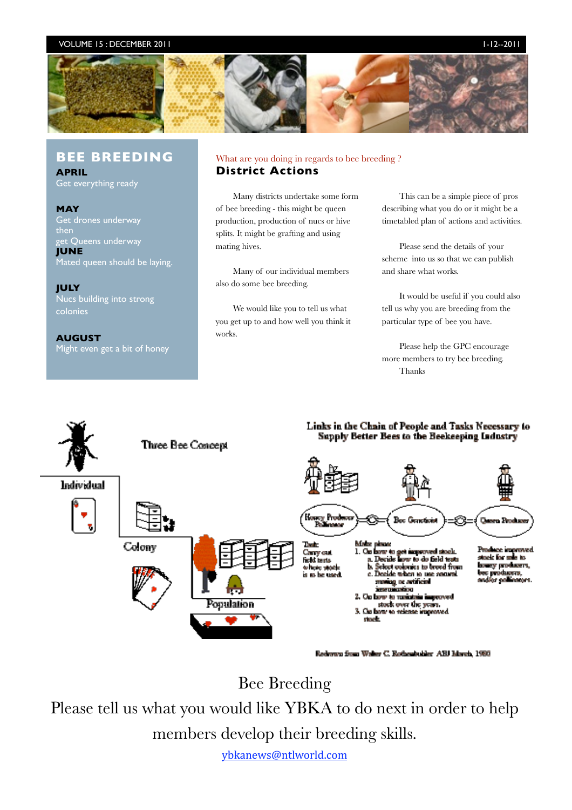#### VOLUME 15 : DECEMBER 2011 1-12-2011 1-12--2011 1-12--2011 1-12--2011 1-12--2011 1-12--2011 1-12--2011 1-12--20



#### **BEE BREEDING**

**APRIL** Get everything ready

**MAY** Get drones underway then get Queens underway **JUNE** Mated queen should be laying.

**JULY** Nucs building into strong colonies

**AUGUST** Might even get a bit of honey

#### What are you doing in regards to bee breeding ? **District Actions**

Many districts undertake some form of bee breeding - this might be queen production, production of nucs or hive splits. It might be grafting and using mating hives.

Many of our individual members also do some bee breeding.

We would like you to tell us what you get up to and how well you think it works.

This can be a simple piece of pros describing what you do or it might be a timetabled plan of actions and activities.

Please send the details of your scheme into us so that we can publish and share what works.

It would be useful if you could also tell us why you are breeding from the particular type of bee you have.

Please help the GPC encourage more members to try bee breeding. Thanks

#### Links in the Chain of People and Tasks Necessary to Supply Better Bees to the Beekeeping Industry



Redwwn from Waker C. Rothenbubler ABJ March, 1980

Bee Breeding

Please tell us what you would like YBKA to do next in order to help members develop their breeding skills.

ybkanews@ntlworld.com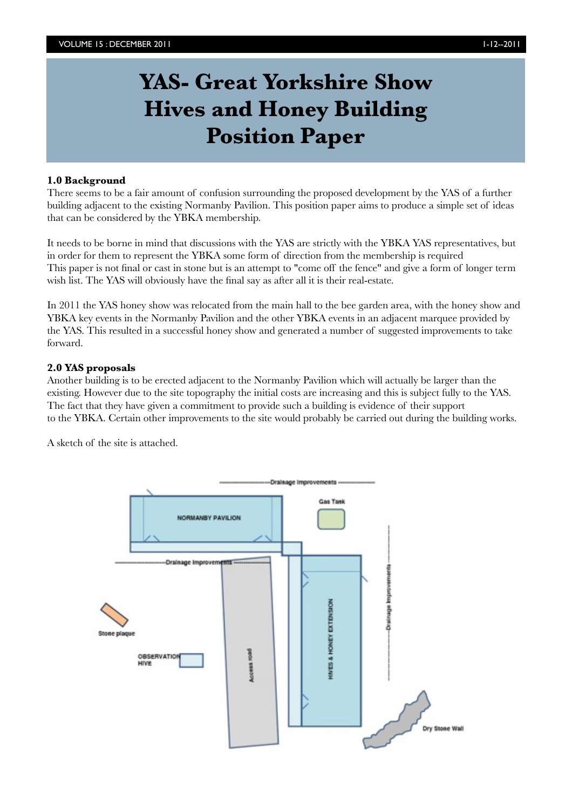# **YAS- Great Yorkshire Show Hives and Honey Building Position Paper**

#### **1.0 Background**

There seems to be a fair amount of confusion surrounding the proposed development by the YAS of a further building adjacent to the existing Normanby Pavilion. This position paper aims to produce a simple set of ideas that can be considered by the YBKA membership.

It needs to be borne in mind that discussions with the YAS are strictly with the YBKA YAS representatives, but in order for them to represent the YBKA some form of direction from the membership is required This paper is not final or cast in stone but is an attempt to "come off the fence" and give a form of longer term wish list. The YAS will obviously have the final say as after all it is their real-estate.

In 2011 the YAS honey show was relocated from the main hall to the bee garden area, with the honey show and YBKA key events in the Normanby Pavilion and the other YBKA events in an adjacent marquee provided by the YAS. This resulted in a successful honey show and generated a number of suggested improvements to take forward.

#### **2.0 YAS proposals**

Another building is to be erected adjacent to the Normanby Pavilion which will actually be larger than the existing. However due to the site topography the initial costs are increasing and this is subject fully to the YAS. The fact that they have given a commitment to provide such a building is evidence of their support to the YBKA. Certain other improvements to the site would probably be carried out during the building works.

A sketch of the site is attached.

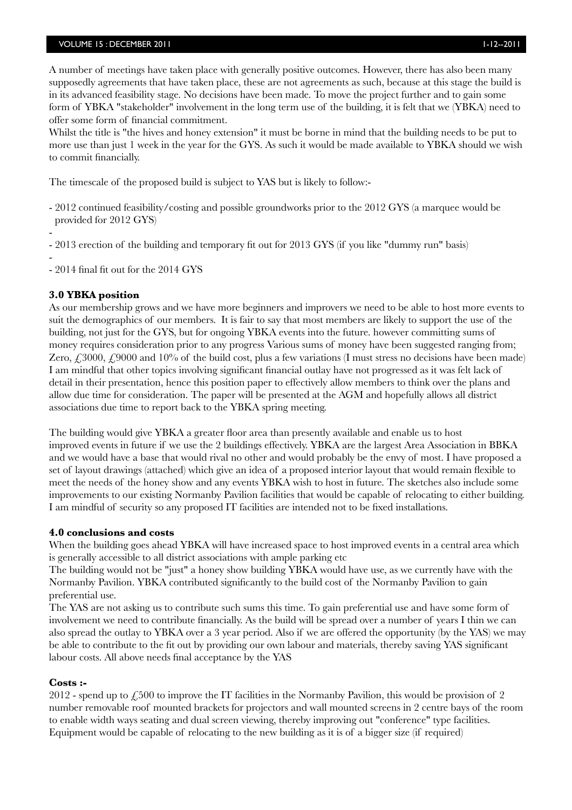#### VOLUME 15 : DECEMBER 2011 12--2011 1-12--2011 1-12--2011 1-12--2011 1-12--2011 1-12--2011 1-12--2011 1-12--2011

A number of meetings have taken place with generally positive outcomes. However, there has also been many supposedly agreements that have taken place, these are not agreements as such, because at this stage the build is in its advanced feasibility stage. No decisions have been made. To move the project further and to gain some form of YBKA "stakeholder" involvement in the long term use of the building, it is felt that we (YBKA) need to offer some form of financial commitment.

Whilst the title is "the hives and honey extension" it must be borne in mind that the building needs to be put to more use than just 1 week in the year for the GYS. As such it would be made available to YBKA should we wish to commit financially.

The timescale of the proposed build is subject to YAS but is likely to follow:-

- 2012 continued feasibility/costing and possible groundworks prior to the 2012 GYS (a marquee would be provided for 2012 GYS)

- - 2013 erection of the building and temporary fit out for 2013 GYS (if you like "dummy run" basis)

- - 2014 final fit out for the 2014 GYS

#### **3.0 YBKA position**

As our membership grows and we have more beginners and improvers we need to be able to host more events to suit the demographics of our members. It is fair to say that most members are likely to support the use of the building, not just for the GYS, but for ongoing YBKA events into the future. however committing sums of money requires consideration prior to any progress Various sums of money have been suggested ranging from; Zero,  $\angle$  3000,  $\angle$  9000 and 10% of the build cost, plus a few variations (I must stress no decisions have been made) I am mindful that other topics involving significant financial outlay have not progressed as it was felt lack of detail in their presentation, hence this position paper to effectively allow members to think over the plans and allow due time for consideration. The paper will be presented at the AGM and hopefully allows all district associations due time to report back to the YBKA spring meeting.

The building would give YBKA a greater floor area than presently available and enable us to host improved events in future if we use the 2 buildings effectively. YBKA are the largest Area Association in BBKA and we would have a base that would rival no other and would probably be the envy of most. I have proposed a set of layout drawings (attached) which give an idea of a proposed interior layout that would remain flexible to meet the needs of the honey show and any events YBKA wish to host in future. The sketches also include some improvements to our existing Normanby Pavilion facilities that would be capable of relocating to either building. I am mindful of security so any proposed IT facilities are intended not to be fixed installations.

#### **4.0 conclusions and costs**

When the building goes ahead YBKA will have increased space to host improved events in a central area which is generally accessible to all district associations with ample parking etc

The building would not be "just" a honey show building YBKA would have use, as we currently have with the Normanby Pavilion. YBKA contributed significantly to the build cost of the Normanby Pavilion to gain preferential use.

The YAS are not asking us to contribute such sums this time. To gain preferential use and have some form of involvement we need to contribute financially. As the build will be spread over a number of years I thin we can also spread the outlay to YBKA over a 3 year period. Also if we are offered the opportunity (by the YAS) we may be able to contribute to the fit out by providing our own labour and materials, thereby saving YAS significant labour costs. All above needs final acceptance by the YAS

#### **Costs :-**

2012 - spend up to  $\angle$ 500 to improve the IT facilities in the Normanby Pavilion, this would be provision of 2 number removable roof mounted brackets for projectors and wall mounted screens in 2 centre bays of the room to enable width ways seating and dual screen viewing, thereby improving out "conference" type facilities. Equipment would be capable of relocating to the new building as it is of a bigger size (if required)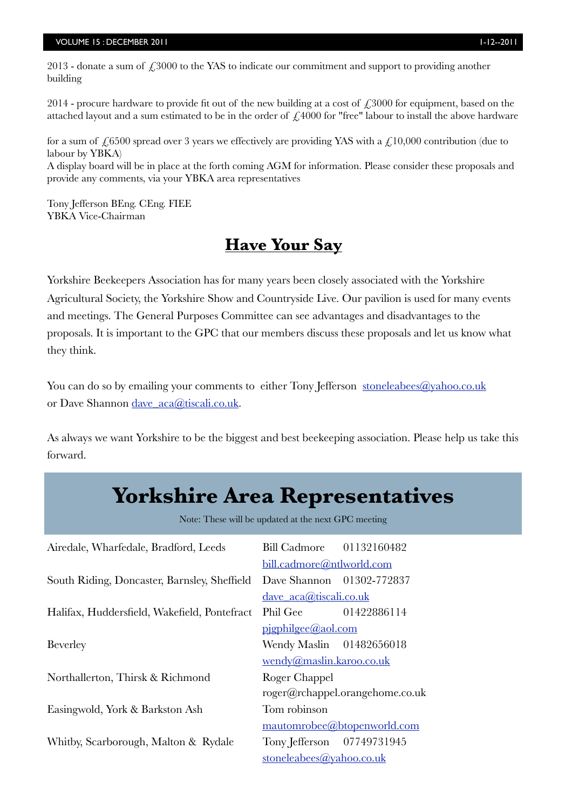#### VOLUME 15 : DECEMBER 2011 1-12-2011 1-12--2011 1-12--2011 1-12--2011 1-12--2011 1-12--2011 1-12--2011 1-12--20

2013 - donate a sum of  $\angle$ 53000 to the YAS to indicate our commitment and support to providing another building

2014 - procure hardware to provide fit out of the new building at a cost of  $\epsilon$  3000 for equipment, based on the attached layout and a sum estimated to be in the order of  $\angle$  4000 for "free" labour to install the above hardware

for a sum of  $\text{\textsterling}6500$  spread over 3 years we effectively are providing YAS with a  $\text{\textsterling}10,000$  contribution (due to labour by YBKA)

A display board will be in place at the forth coming AGM for information. Please consider these proposals and provide any comments, via your YBKA area representatives

Tony Jefferson BEng. CEng. FIEE YBKA Vice-Chairman

# **Have Your Say**

Yorkshire Beekeepers Association has for many years been closely associated with the Yorkshire Agricultural Society, the Yorkshire Show and Countryside Live. Our pavilion is used for many events and meetings. The General Purposes Committee can see advantages and disadvantages to the proposals. It is important to the GPC that our members discuss these proposals and let us know what they think.

You can do so by emailing your comments to either Tony Jefferson stoneleabees@yahoo.co.uk or Dave Shannon dave\_aca@tiscali.co.uk.

As always we want Yorkshire to be the biggest and best beekeeping association. Please help us take this forward.

# Note: These will be updated at the next GPC meeting Airedale, Wharfedale, Bradford, Leeds Bill Cadmore 01132160482 [bill.cadmore@ntlworld.com](mailto:bill.cadmore@ntlworld.com) South Riding, Doncaster, Barnsley, Sheffield Dave Shannon 01302-772837 dave  $aca@tiscali.co.uk$ Halifax, Huddersfield, Wakefield, Pontefract Phil Gee 01422886114 [pjgphilgee@aol.com](mailto:pjgphilgee@aol.com) Beverley **Wendy Maslin** 01482656018 [wendy@maslin.karoo.co.uk](mailto:wendy@maslin.karoo.co.uk) Northallerton, Thirsk & Richmond Roger Chappel [roger@rchappel.orangehome.co.uk](mailto:roger@rchappel.orangehome.co.uk) Easingwold, York & Barkston Ash Tom robinson [mautomrobee@btopenworld.com](mailto:mautomrobee@btopenworld.com) Whitby, Scarborough, Malton & Rydale Tony Jefferson 07749731945 **Yorkshire Area Representatives**

 [stoneleabees@yahoo.co.uk](mailto:stoneleabees@yahoo.co.uk)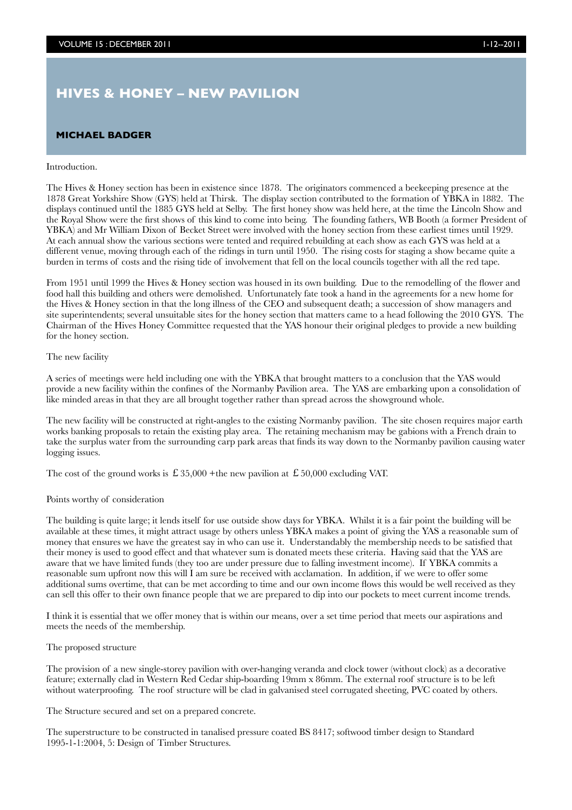### **HIVES & HONEY – NEW PAVILION**

#### **MICHAEL BADGER**

#### Introduction.

The Hives & Honey section has been in existence since 1878. The originators commenced a beekeeping presence at the 1878 Great Yorkshire Show (GYS) held at Thirsk. The display section contributed to the formation of YBKA in 1882. The displays continued until the 1885 GYS held at Selby. The first honey show was held here, at the time the Lincoln Show and the Royal Show were the first shows of this kind to come into being. The founding fathers, WB Booth (a former President of YBKA) and Mr William Dixon of Becket Street were involved with the honey section from these earliest times until 1929. At each annual show the various sections were tented and required rebuilding at each show as each GYS was held at a different venue, moving through each of the ridings in turn until 1950. The rising costs for staging a show became quite a burden in terms of costs and the rising tide of involvement that fell on the local councils together with all the red tape.

From 1951 until 1999 the Hives & Honey section was housed in its own building. Due to the remodelling of the flower and food hall this building and others were demolished. Unfortunately fate took a hand in the agreements for a new home for the Hives & Honey section in that the long illness of the CEO and subsequent death; a succession of show managers and site superintendents; several unsuitable sites for the honey section that matters came to a head following the 2010 GYS. The Chairman of the Hives Honey Committee requested that the YAS honour their original pledges to provide a new building for the honey section.

#### The new facility

A series of meetings were held including one with the YBKA that brought matters to a conclusion that the YAS would provide a new facility within the confines of the Normanby Pavilion area. The YAS are embarking upon a consolidation of like minded areas in that they are all brought together rather than spread across the showground whole.

The new facility will be constructed at right-angles to the existing Normanby pavilion. The site chosen requires major earth works banking proposals to retain the existing play area. The retaining mechanism may be gabions with a French drain to take the surplus water from the surrounding carp park areas that finds its way down to the Normanby pavilion causing water logging issues.

The cost of the ground works is  $\pounds$  35,000 +the new pavilion at  $\pounds$  50,000 excluding VAT.

#### Points worthy of consideration

The building is quite large; it lends itself for use outside show days for YBKA. Whilst it is a fair point the building will be available at these times, it might attract usage by others unless YBKA makes a point of giving the YAS a reasonable sum of money that ensures we have the greatest say in who can use it. Understandably the membership needs to be satisfied that their money is used to good effect and that whatever sum is donated meets these criteria. Having said that the YAS are aware that we have limited funds (they too are under pressure due to falling investment income). If YBKA commits a reasonable sum upfront now this will I am sure be received with acclamation. In addition, if we were to offer some additional sums overtime, that can be met according to time and our own income flows this would be well received as they can sell this offer to their own finance people that we are prepared to dip into our pockets to meet current income trends.

I think it is essential that we offer money that is within our means, over a set time period that meets our aspirations and meets the needs of the membership.

#### The proposed structure

The provision of a new single-storey pavilion with over-hanging veranda and clock tower (without clock) as a decorative feature; externally clad in Western Red Cedar ship-boarding 19mm x 86mm. The external roof structure is to be left without waterproofing. The roof structure will be clad in galvanised steel corrugated sheeting, PVC coated by others.

The Structure secured and set on a prepared concrete.

The superstructure to be constructed in tanalised pressure coated BS 8417; softwood timber design to Standard 1995-1-1:2004, 5: Design of Timber Structures.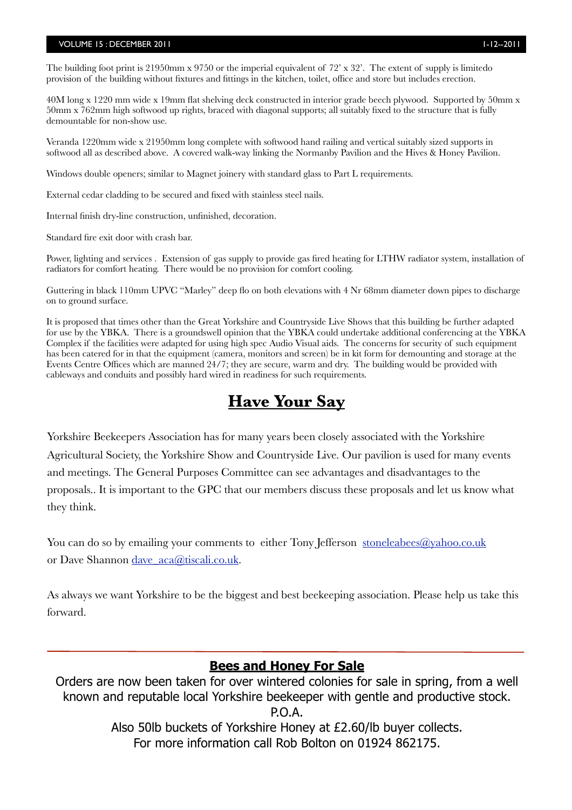#### VOLUME 15 : DECEMBER 2011 12--2011 1-12--2011 1-12--2011 1-12--2011 1-12--2011 1-12--2011 1-12--2011 1-12--20

The building foot print is 21950mm x 9750 or the imperial equivalent of 72' x 32'. The extent of supply is limitedo provision of the building without fixtures and fittings in the kitchen, toilet, office and store but includes erection.

40M long x 1220 mm wide x 19mm flat shelving deck constructed in interior grade beech plywood. Supported by 50mm x 50mm x 762mm high softwood up rights, braced with diagonal supports; all suitably fixed to the structure that is fully demountable for non-show use.

Veranda 1220mm wide x 21950mm long complete with softwood hand railing and vertical suitably sized supports in softwood all as described above. A covered walk-way linking the Normanby Pavilion and the Hives & Honey Pavilion.

Windows double openers; similar to Magnet joinery with standard glass to Part L requirements.

External cedar cladding to be secured and fixed with stainless steel nails.

Internal finish dry-line construction, unfinished, decoration.

Standard fire exit door with crash bar.

Power, lighting and services . Extension of gas supply to provide gas fired heating for LTHW radiator system, installation of radiators for comfort heating. There would be no provision for comfort cooling.

Guttering in black 110mm UPVC "Marley" deep flo on both elevations with 4 Nr 68mm diameter down pipes to discharge on to ground surface.

It is proposed that times other than the Great Yorkshire and Countryside Live Shows that this building be further adapted for use by the YBKA. There is a groundswell opinion that the YBKA could undertake additional conferencing at the YBKA Complex if the facilities were adapted for using high spec Audio Visual aids. The concerns for security of such equipment has been catered for in that the equipment (camera, monitors and screen) be in kit form for demounting and storage at the Events Centre Offices which are manned 24/7; they are secure, warm and dry. The building would be provided with cableways and conduits and possibly hard wired in readiness for such requirements.

# **Have Your Say**

Yorkshire Beekeepers Association has for many years been closely associated with the Yorkshire Agricultural Society, the Yorkshire Show and Countryside Live. Our pavilion is used for many events and meetings. The General Purposes Committee can see advantages and disadvantages to the proposals.. It is important to the GPC that our members discuss these proposals and let us know what they think.

You can do so by emailing your comments to either Tony Jefferson stoneleabees@yahoo.co.uk or Dave Shannon dave aca@tiscali.co.uk.

As always we want Yorkshire to be the biggest and best beekeeping association. Please help us take this forward.

#### **Bees and Honey For Sale**

Orders are now been taken for over wintered colonies for sale in spring, from a well known and reputable local Yorkshire beekeeper with gentle and productive stock. P.O.A. Also 50lb buckets of Yorkshire Honey at £2.60/lb buyer collects. For more information call Rob Bolton on 01924 862175.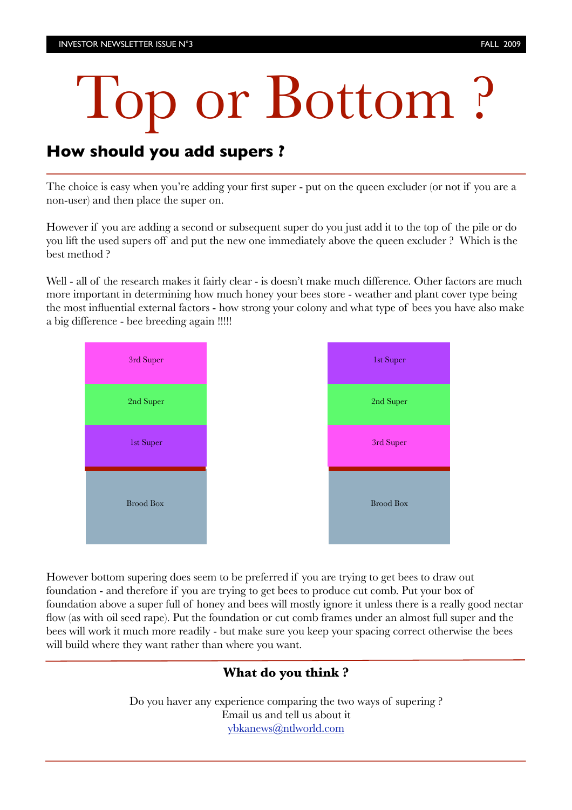# Top or Bottom ?

# **How should you add supers ?**

The choice is easy when you're adding your first super - put on the queen excluder (or not if you are a non-user) and then place the super on.

However if you are adding a second or subsequent super do you just add it to the top of the pile or do you lift the used supers off and put the new one immediately above the queen excluder ? Which is the best method ?

Well - all of the research makes it fairly clear - is doesn't make much difference. Other factors are much more important in determining how much honey your bees store - weather and plant cover type being the most influential external factors - how strong your colony and what type of bees you have also make a big difference - bee breeding again !!!!!



However bottom supering does seem to be preferred if you are trying to get bees to draw out foundation - and therefore if you are trying to get bees to produce cut comb. Put your box of foundation above a super full of honey and bees will mostly ignore it unless there is a really good nectar flow (as with oil seed rape). Put the foundation or cut comb frames under an almost full super and the bees will work it much more readily - but make sure you keep your spacing correct otherwise the bees will build where they want rather than where you want.

### **What do you think ?**

Do you haver any experience comparing the two ways of supering ? Email us and tell us about it [ybkanews@ntlworld.com](mailto:ybkanews@ntlworld.com)